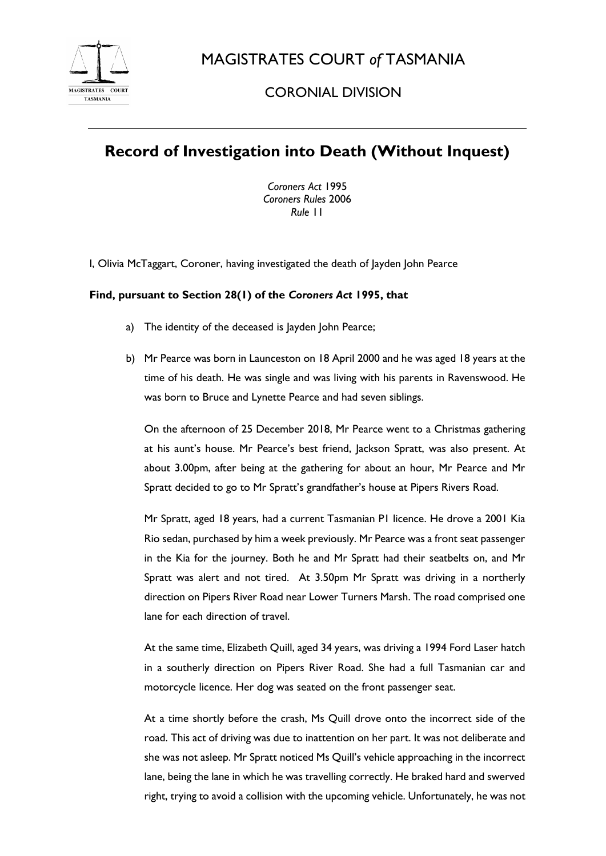

MAGISTRATES COURT *of* TASMANIA

## CORONIAL DIVISION

## **Record of Investigation into Death (Without Inquest)**

*Coroners Act* 1995 *Coroners Rules* 2006 *Rule* 11

I, Olivia McTaggart, Coroner, having investigated the death of Jayden John Pearce

## **Find, pursuant to Section 28(1) of the** *Coroners Act* **1995, that**

- a) The identity of the deceased is Jayden John Pearce;
- b) Mr Pearce was born in Launceston on 18 April 2000 and he was aged 18 years at the time of his death. He was single and was living with his parents in Ravenswood. He was born to Bruce and Lynette Pearce and had seven siblings.

On the afternoon of 25 December 2018, Mr Pearce went to a Christmas gathering at his aunt's house. Mr Pearce's best friend, Jackson Spratt, was also present. At about 3.00pm, after being at the gathering for about an hour, Mr Pearce and Mr Spratt decided to go to Mr Spratt's grandfather's house at Pipers Rivers Road.

Mr Spratt, aged 18 years, had a current Tasmanian P1 licence. He drove a 2001 Kia Rio sedan, purchased by him a week previously. Mr Pearce was a front seat passenger in the Kia for the journey. Both he and Mr Spratt had their seatbelts on, and Mr Spratt was alert and not tired. At 3.50pm Mr Spratt was driving in a northerly direction on Pipers River Road near Lower Turners Marsh. The road comprised one lane for each direction of travel.

At the same time, Elizabeth Quill, aged 34 years, was driving a 1994 Ford Laser hatch in a southerly direction on Pipers River Road. She had a full Tasmanian car and motorcycle licence. Her dog was seated on the front passenger seat.

At a time shortly before the crash, Ms Quill drove onto the incorrect side of the road. This act of driving was due to inattention on her part. It was not deliberate and she was not asleep. Mr Spratt noticed Ms Quill's vehicle approaching in the incorrect lane, being the lane in which he was travelling correctly. He braked hard and swerved right, trying to avoid a collision with the upcoming vehicle. Unfortunately, he was not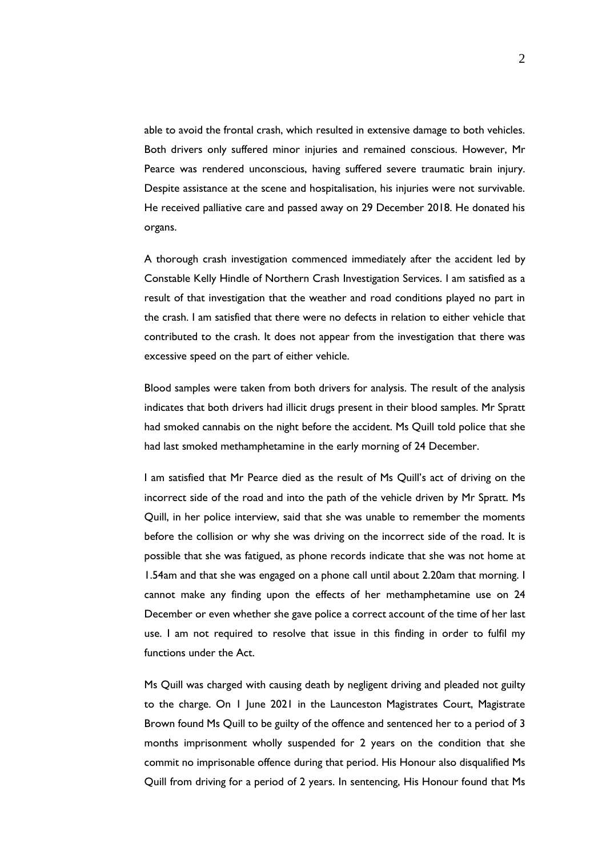able to avoid the frontal crash, which resulted in extensive damage to both vehicles. Both drivers only suffered minor injuries and remained conscious. However, Mr Pearce was rendered unconscious, having suffered severe traumatic brain injury. Despite assistance at the scene and hospitalisation, his injuries were not survivable. He received palliative care and passed away on 29 December 2018. He donated his organs.

A thorough crash investigation commenced immediately after the accident led by Constable Kelly Hindle of Northern Crash Investigation Services. I am satisfied as a result of that investigation that the weather and road conditions played no part in the crash. I am satisfied that there were no defects in relation to either vehicle that contributed to the crash. It does not appear from the investigation that there was excessive speed on the part of either vehicle.

Blood samples were taken from both drivers for analysis. The result of the analysis indicates that both drivers had illicit drugs present in their blood samples. Mr Spratt had smoked cannabis on the night before the accident. Ms Quill told police that she had last smoked methamphetamine in the early morning of 24 December.

I am satisfied that Mr Pearce died as the result of Ms Quill's act of driving on the incorrect side of the road and into the path of the vehicle driven by Mr Spratt. Ms Quill, in her police interview, said that she was unable to remember the moments before the collision or why she was driving on the incorrect side of the road. It is possible that she was fatigued, as phone records indicate that she was not home at 1.54am and that she was engaged on a phone call until about 2.20am that morning. I cannot make any finding upon the effects of her methamphetamine use on 24 December or even whether she gave police a correct account of the time of her last use. I am not required to resolve that issue in this finding in order to fulfil my functions under the Act.

Ms Quill was charged with causing death by negligent driving and pleaded not guilty to the charge. On 1 June 2021 in the Launceston Magistrates Court, Magistrate Brown found Ms Quill to be guilty of the offence and sentenced her to a period of 3 months imprisonment wholly suspended for 2 years on the condition that she commit no imprisonable offence during that period. His Honour also disqualified Ms Quill from driving for a period of 2 years. In sentencing, His Honour found that Ms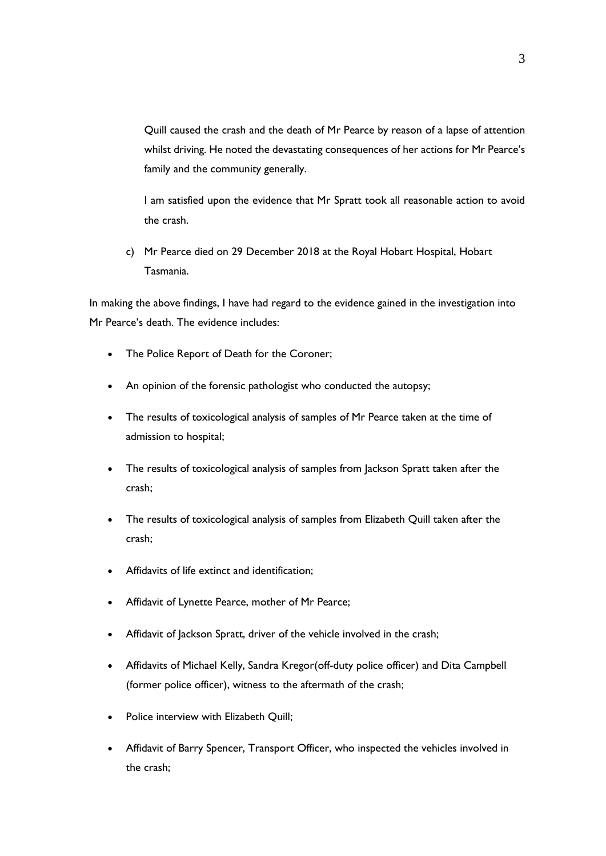Quill caused the crash and the death of Mr Pearce by reason of a lapse of attention whilst driving. He noted the devastating consequences of her actions for Mr Pearce's family and the community generally.

I am satisfied upon the evidence that Mr Spratt took all reasonable action to avoid the crash.

c) Mr Pearce died on 29 December 2018 at the Royal Hobart Hospital, Hobart Tasmania.

In making the above findings, I have had regard to the evidence gained in the investigation into Mr Pearce's death. The evidence includes:

- The Police Report of Death for the Coroner;
- An opinion of the forensic pathologist who conducted the autopsy;
- The results of toxicological analysis of samples of Mr Pearce taken at the time of admission to hospital;
- The results of toxicological analysis of samples from Jackson Spratt taken after the crash;
- The results of toxicological analysis of samples from Elizabeth Quill taken after the crash;
- Affidavits of life extinct and identification;
- Affidavit of Lynette Pearce, mother of Mr Pearce;
- Affidavit of Jackson Spratt, driver of the vehicle involved in the crash;
- Affidavits of Michael Kelly, Sandra Kregor(off-duty police officer) and Dita Campbell (former police officer), witness to the aftermath of the crash;
- Police interview with Elizabeth Quill;
- Affidavit of Barry Spencer, Transport Officer, who inspected the vehicles involved in the crash;